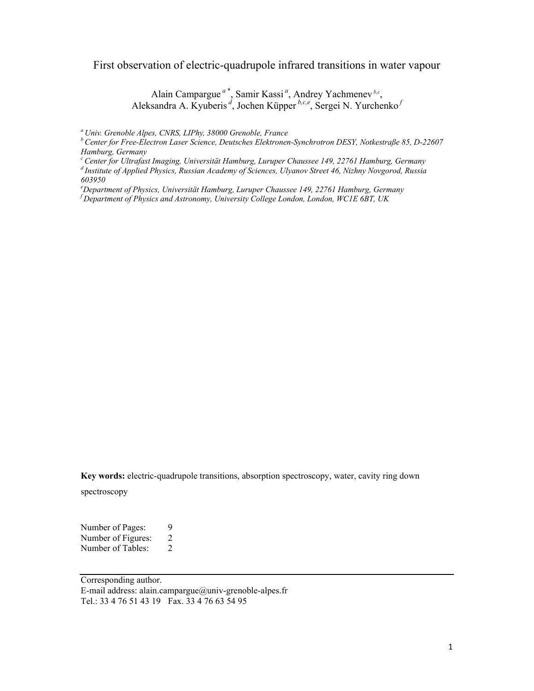First observation of electric-quadrupole infrared transitions in water vapour

Alain Campargue<sup>*a*\*</sup>, Samir Kassi<sup>*a*</sup>, Andrey Yachmenev<sup>*b.c*</sup>, Aleksandra A. Kyuberis *<sup>d</sup>* , Jochen Küpper *b,c,e*, Sergei N. Yurchenko *<sup>f</sup>*

*a Univ. Grenoble Alpes, CNRS, LIPhy, 38000 Grenoble, France* 

*b Center for Free-Electron Laser Science, Deutsches Elektronen-Synchrotron DESY, Notkestraße 85, D-22607 Hamburg, Germany* 

*c Center for Ultrafast Imaging, Universität Hamburg, Luruper Chaussee 149, 22761 Hamburg, Germany* 

*d Institute of Applied Physics, Russian Academy of Sciences, Ulyanov Street 46, Nizhny Novgorod, Russia 603950* 

*e Department of Physics, Universität Hamburg, Luruper Chaussee 149, 22761 Hamburg, Germany f Department of Physics and Astronomy, University College London, London, WC1E 6BT, UK*

**Key words:** electric-quadrupole transitions, absorption spectroscopy, water, cavity ring down spectroscopy

Number of Pages: 9<br>Number of Figures: 2 Number of Figures: 2<br>Number of Tables: 2 Number of Tables:

Corresponding author. E-mail address: alain.campargue@univ-grenoble-alpes.fr Tel.: 33 4 76 51 43 19 Fax. 33 4 76 63 54 95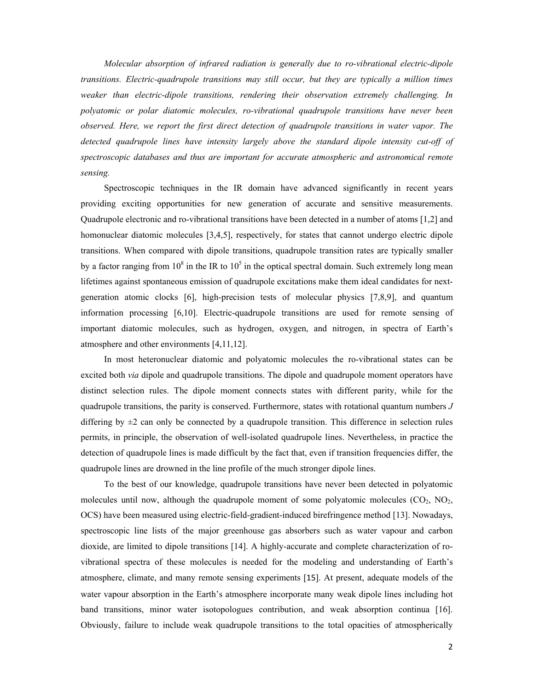*Molecular absorption of infrared radiation is generally due to ro-vibrational electric-dipole transitions. Electric-quadrupole transitions may still occur, but they are typically a million times weaker than electric-dipole transitions, rendering their observation extremely challenging. In polyatomic or polar diatomic molecules, ro-vibrational quadrupole transitions have never been observed. Here, we report the first direct detection of quadrupole transitions in water vapor. The detected quadrupole lines have intensity largely above the standard dipole intensity cut-off of spectroscopic databases and thus are important for accurate atmospheric and astronomical remote sensing.* 

Spectroscopic techniques in the IR domain have advanced significantly in recent years providing exciting opportunities for new generation of accurate and sensitive measurements. Quadrupole electronic and ro-vibrational transitions have been detected in a number of atoms [1,2] and homonuclear diatomic molecules [3,4,5], respectively, for states that cannot undergo electric dipole transitions. When compared with dipole transitions, quadrupole transition rates are typically smaller by a factor ranging from  $10^8$  in the IR to  $10^5$  in the optical spectral domain. Such extremely long mean lifetimes against spontaneous emission of quadrupole excitations make them ideal candidates for nextgeneration atomic clocks [6], high-precision tests of molecular physics [7,8,9], and quantum information processing [6,10]. Electric-quadrupole transitions are used for remote sensing of important diatomic molecules, such as hydrogen, oxygen, and nitrogen, in spectra of Earth's atmosphere and other environments [4,11,12].

In most heteronuclear diatomic and polyatomic molecules the ro-vibrational states can be excited both *via* dipole and quadrupole transitions. The dipole and quadrupole moment operators have distinct selection rules. The dipole moment connects states with different parity, while for the quadrupole transitions, the parity is conserved. Furthermore, states with rotational quantum numbers *J* differing by  $\pm 2$  can only be connected by a quadrupole transition. This difference in selection rules permits, in principle, the observation of well-isolated quadrupole lines. Nevertheless, in practice the detection of quadrupole lines is made difficult by the fact that, even if transition frequencies differ, the quadrupole lines are drowned in the line profile of the much stronger dipole lines.

To the best of our knowledge, quadrupole transitions have never been detected in polyatomic molecules until now, although the quadrupole moment of some polyatomic molecules  $(CO_2, NO_2,$ OCS) have been measured using electric-field-gradient-induced birefringence method [13]. Nowadays, spectroscopic line lists of the major greenhouse gas absorbers such as water vapour and carbon dioxide, are limited to dipole transitions [14]. A highly-accurate and complete characterization of rovibrational spectra of these molecules is needed for the modeling and understanding of Earth's atmosphere, climate, and many remote sensing experiments [15]. At present, adequate models of the water vapour absorption in the Earth's atmosphere incorporate many weak dipole lines including hot band transitions, minor water isotopologues contribution, and weak absorption continua [16]. Obviously, failure to include weak quadrupole transitions to the total opacities of atmospherically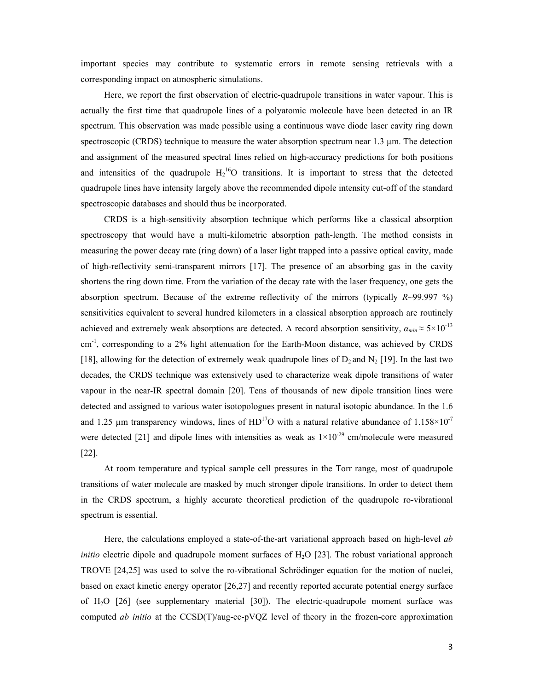important species may contribute to systematic errors in remote sensing retrievals with a corresponding impact on atmospheric simulations.

Here, we report the first observation of electric-quadrupole transitions in water vapour. This is actually the first time that quadrupole lines of a polyatomic molecule have been detected in an IR spectrum. This observation was made possible using a continuous wave diode laser cavity ring down spectroscopic (CRDS) technique to measure the water absorption spectrum near 1.3 µm. The detection and assignment of the measured spectral lines relied on high-accuracy predictions for both positions and intensities of the quadrupole  $H_2^{16}O$  transitions. It is important to stress that the detected quadrupole lines have intensity largely above the recommended dipole intensity cut-off of the standard spectroscopic databases and should thus be incorporated.

CRDS is a high-sensitivity absorption technique which performs like a classical absorption spectroscopy that would have a multi-kilometric absorption path-length. The method consists in measuring the power decay rate (ring down) of a laser light trapped into a passive optical cavity, made of high-reflectivity semi-transparent mirrors [17]. The presence of an absorbing gas in the cavity shortens the ring down time. From the variation of the decay rate with the laser frequency, one gets the absorption spectrum. Because of the extreme reflectivity of the mirrors (typically *R*~99.997 %) sensitivities equivalent to several hundred kilometers in a classical absorption approach are routinely achieved and extremely weak absorptions are detected. A record absorption sensitivity,  $\alpha_{min} \approx 5 \times 10^{-13}$ cm-1, corresponding to a 2% light attenuation for the Earth-Moon distance, was achieved by CRDS [18], allowing for the detection of extremely weak quadrupole lines of  $D_2$  and  $N_2$  [19]. In the last two decades, the CRDS technique was extensively used to characterize weak dipole transitions of water vapour in the near-IR spectral domain [20]. Tens of thousands of new dipole transition lines were detected and assigned to various water isotopologues present in natural isotopic abundance. In the 1.6 and 1.25  $\mu$ m transparency windows, lines of HD<sup>17</sup>O with a natural relative abundance of 1.158×10<sup>-7</sup> were detected [21] and dipole lines with intensities as weak as  $1\times10^{-29}$  cm/molecule were measured [22].

At room temperature and typical sample cell pressures in the Torr range, most of quadrupole transitions of water molecule are masked by much stronger dipole transitions. In order to detect them in the CRDS spectrum, a highly accurate theoretical prediction of the quadrupole ro-vibrational spectrum is essential.

Here, the calculations employed a state-of-the-art variational approach based on high-level *ab initio* electric dipole and quadrupole moment surfaces of H<sub>2</sub>O [23]. The robust variational approach TROVE [24,25] was used to solve the ro-vibrational Schrödinger equation for the motion of nuclei, based on exact kinetic energy operator [26,27] and recently reported accurate potential energy surface of  $H_2O$  [26] (see supplementary material [30]). The electric-quadrupole moment surface was computed *ab initio* at the CCSD(T)/aug-cc-pVQZ level of theory in the frozen-core approximation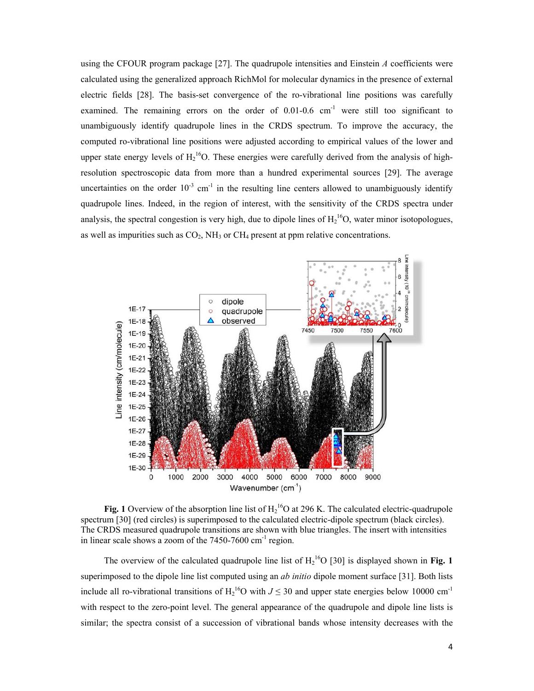using the CFOUR program package [27]. The quadrupole intensities and Einstein *A* coefficients were calculated using the generalized approach RichMol for molecular dynamics in the presence of external electric fields [28]. The basis-set convergence of the ro-vibrational line positions was carefully examined. The remaining errors on the order of  $0.01-0.6$  cm<sup>-1</sup> were still too significant to unambiguously identify quadrupole lines in the CRDS spectrum. To improve the accuracy, the computed ro-vibrational line positions were adjusted according to empirical values of the lower and upper state energy levels of  $H_2^{16}O$ . These energies were carefully derived from the analysis of highresolution spectroscopic data from more than a hundred experimental sources [29]. The average uncertainties on the order  $10^{-3}$  cm<sup>-1</sup> in the resulting line centers allowed to unambiguously identify quadrupole lines. Indeed, in the region of interest, with the sensitivity of the CRDS spectra under analysis, the spectral congestion is very high, due to dipole lines of  $H_2^{16}O$ , water minor isotopologues, as well as impurities such as  $CO<sub>2</sub>$ , NH<sub>3</sub> or CH<sub>4</sub> present at ppm relative concentrations.



**Fig. 1** Overview of the absorption line list of  $H_2^{16}O$  at 296 K. The calculated electric-quadrupole spectrum [30] (red circles) is superimposed to the calculated electric-dipole spectrum (black circles). The CRDS measured quadrupole transitions are shown with blue triangles. The insert with intensities in linear scale shows a zoom of the  $7450-7600$  cm<sup>-1</sup> region.

The overview of the calculated quadrupole line list of  $H_2^{16}O$  [30] is displayed shown in **Fig. 1** superimposed to the dipole line list computed using an *ab initio* dipole moment surface [31]. Both lists include all ro-vibrational transitions of  $H_2$ <sup>16</sup>O with  $J \le 30$  and upper state energies below 10000 cm<sup>-1</sup> with respect to the zero-point level. The general appearance of the quadrupole and dipole line lists is similar; the spectra consist of a succession of vibrational bands whose intensity decreases with the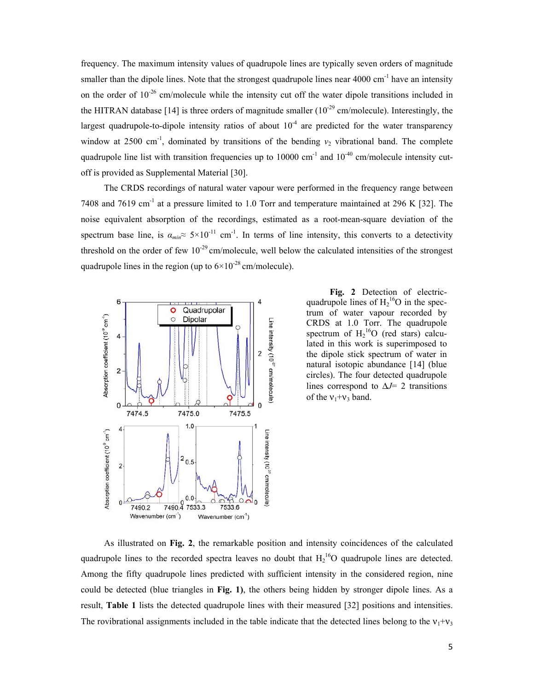frequency. The maximum intensity values of quadrupole lines are typically seven orders of magnitude smaller than the dipole lines. Note that the strongest quadrupole lines near 4000 cm<sup>-1</sup> have an intensity on the order of  $10^{-26}$  cm/molecule while the intensity cut off the water dipole transitions included in the HITRAN database [14] is three orders of magnitude smaller  $(10^{-29}$  cm/molecule). Interestingly, the largest quadrupole-to-dipole intensity ratios of about  $10^{-4}$  are predicted for the water transparency window at 2500 cm<sup>-1</sup>, dominated by transitions of the bending  $v_2$  vibrational band. The complete quadrupole line list with transition frequencies up to 10000 cm<sup>-1</sup> and  $10^{-40}$  cm/molecule intensity cutoff is provided as Supplemental Material [30].

The CRDS recordings of natural water vapour were performed in the frequency range between 7408 and 7619 cm-1 at a pressure limited to 1.0 Torr and temperature maintained at 296 K [32]. The noise equivalent absorption of the recordings, estimated as a root-mean-square deviation of the spectrum base line, is  $a_{min} \approx 5 \times 10^{-11}$  cm<sup>-1</sup>. In terms of line intensity, this converts to a detectivity threshold on the order of few  $10^{-29}$  cm/molecule, well below the calculated intensities of the strongest quadrupole lines in the region (up to  $6\times10^{-28}$  cm/molecule).



**Fig. 2** Detection of electricquadrupole lines of  $H_2^{16}O$  in the spectrum of water vapour recorded by CRDS at 1.0 Torr. The quadrupole spectrum of  $H_2^{16}O$  (red stars) calculated in this work is superimposed to the dipole stick spectrum of water in natural isotopic abundance [14] (blue circles). The four detected quadrupole lines correspond to  $\Delta J$ = 2 transitions of the  $v_1+v_3$  band.

As illustrated on **Fig. 2**, the remarkable position and intensity coincidences of the calculated quadrupole lines to the recorded spectra leaves no doubt that  $H_2^{16}O$  quadrupole lines are detected. Among the fifty quadrupole lines predicted with sufficient intensity in the considered region, nine could be detected (blue triangles in **Fig. 1)**, the others being hidden by stronger dipole lines. As a result, **Table 1** lists the detected quadrupole lines with their measured [32] positions and intensities. The rovibrational assignments included in the table indicate that the detected lines belong to the  $v_1+v_3$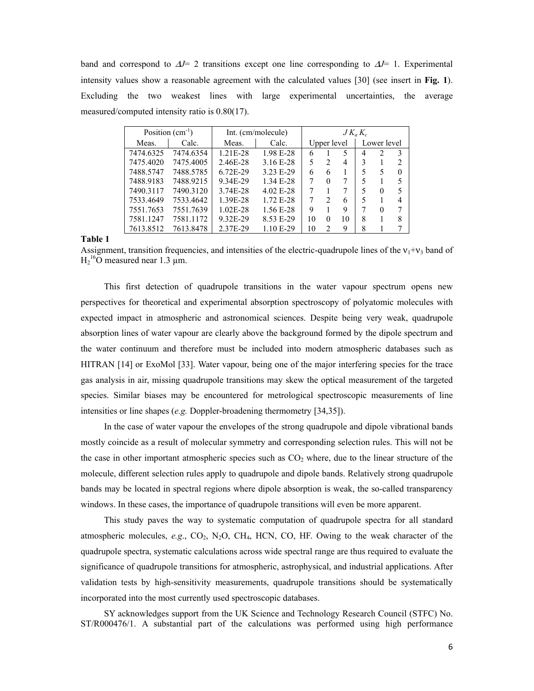band and correspond to  $\Delta J = 2$  transitions except one line corresponding to  $\Delta J = 1$ . Experimental intensity values show a reasonable agreement with the calculated values [30] (see insert in **Fig. 1**). Excluding the two weakest lines with large experimental uncertainties, the average measured/computed intensity ratio is 0.80(17).

| Position $(cm^{-1})$ |           | Int. (cm/molecule) |             | $JK_aK_c$   |                |    |             |   |              |
|----------------------|-----------|--------------------|-------------|-------------|----------------|----|-------------|---|--------------|
| Meas.                | Calc.     | Meas.              | Calc.       | Upper level |                |    | Lower level |   |              |
| 7474.6325            | 7474.6354 | 1.21E-28           | 1.98 E-28   | 6           |                | 5  | 4           | 2 | 3            |
| 7475.4020            | 7475.4005 | 2.46E-28           | 3.16 E-28   | 5           | $\mathcal{L}$  | 4  | 3           |   |              |
| 7488.5747            | 7488.5785 | 6.72E-29           | 3.23 E-29   | 6           | 6              |    |             | 5 | $\mathbf{0}$ |
| 7488.9183            | 7488.9215 | 9.34E-29           | 1.34 E-28   | 7           | $\theta$       | 7  | 5           |   |              |
| 7490.3117            | 7490.3120 | 3.74E-28           | $4.02$ E-28 | 7           |                | 7  |             | 0 |              |
| 7533.4649            | 7533.4642 | 1.39E-28           | 1.72 E-28   |             | $\mathfrak{D}$ | 6  | 5           |   |              |
| 7551.7653            | 7551.7639 | $1.02E - 28$       | 1.56 E-28   | 9           |                | 9  |             | 0 |              |
| 7581.1247            | 7581.1172 | 9.32E-29           | 8.53 E-29   | 10          | 0              | 10 | 8           |   |              |
| 7613.8512            | 7613.8478 | 2.37E-29           | 1.10 E-29   | 10          | $\mathfrak{D}$ | 9  | 8           |   |              |

**Table 1** 

Assignment, transition frequencies, and intensities of the electric-quadrupole lines of the  $v_1 + v_3$  band of  $H_2^{16}$ O measured near 1.3 µm.

This first detection of quadrupole transitions in the water vapour spectrum opens new perspectives for theoretical and experimental absorption spectroscopy of polyatomic molecules with expected impact in atmospheric and astronomical sciences. Despite being very weak, quadrupole absorption lines of water vapour are clearly above the background formed by the dipole spectrum and the water continuum and therefore must be included into modern atmospheric databases such as HITRAN [14] or ExoMol [33]. Water vapour, being one of the major interfering species for the trace gas analysis in air, missing quadrupole transitions may skew the optical measurement of the targeted species. Similar biases may be encountered for metrological spectroscopic measurements of line intensities or line shapes (*e.g.* Doppler-broadening thermometry [34,35]).

In the case of water vapour the envelopes of the strong quadrupole and dipole vibrational bands mostly coincide as a result of molecular symmetry and corresponding selection rules. This will not be the case in other important atmospheric species such as  $CO<sub>2</sub>$  where, due to the linear structure of the molecule, different selection rules apply to quadrupole and dipole bands. Relatively strong quadrupole bands may be located in spectral regions where dipole absorption is weak, the so-called transparency windows. In these cases, the importance of quadrupole transitions will even be more apparent.

This study paves the way to systematic computation of quadrupole spectra for all standard atmospheric molecules, *e.g.*, CO<sub>2</sub>, N<sub>2</sub>O, CH<sub>4</sub>, HCN, CO, HF. Owing to the weak character of the quadrupole spectra, systematic calculations across wide spectral range are thus required to evaluate the significance of quadrupole transitions for atmospheric, astrophysical, and industrial applications. After validation tests by high-sensitivity measurements, quadrupole transitions should be systematically incorporated into the most currently used spectroscopic databases.

SY acknowledges support from the UK Science and Technology Research Council (STFC) No. ST/R000476/1. A substantial part of the calculations was performed using high performance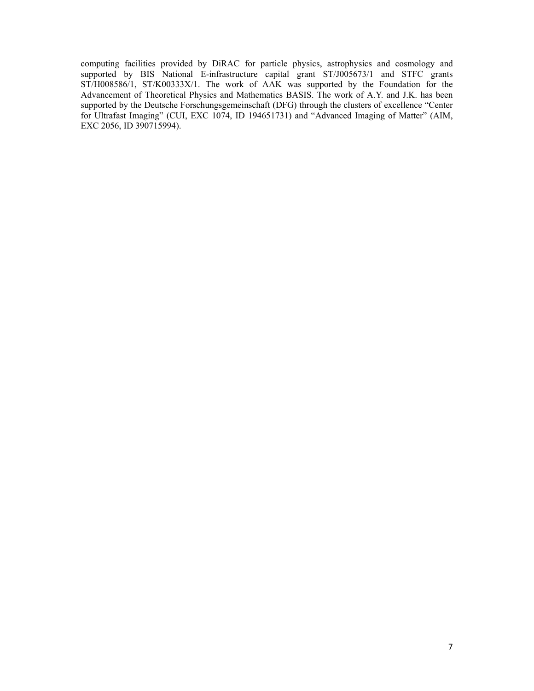computing facilities provided by DiRAC for particle physics, astrophysics and cosmology and supported by BIS National E-infrastructure capital grant ST/J005673/1 and STFC grants ST/H008586/1, ST/K00333X/1. The work of AAK was supported by the Foundation for the Advancement of Theoretical Physics and Mathematics BASIS. The work of A.Y. and J.K. has been supported by the Deutsche Forschungsgemeinschaft (DFG) through the clusters of excellence "Center for Ultrafast Imaging" (CUI, EXC 1074, ID 194651731) and "Advanced Imaging of Matter" (AIM, EXC 2056, ID 390715994).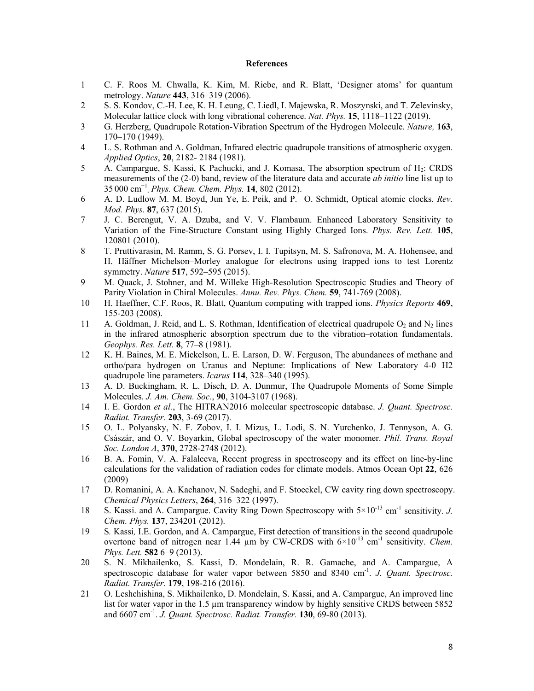## **References**

- 1 C. F. Roos M. Chwalla, K. Kim, M. Riebe, and R. Blatt, 'Designer atoms' for quantum metrology. *Nature* **443**, 316–319 (2006).
- 2 S. S. Kondov, C.-H. Lee, K. H. Leung, C. Liedl, I. Majewska, R. Moszynski, and T. Zelevinsky, Molecular lattice clock with long vibrational coherence. *Nat. Phys.* **15**, 1118–1122 (2019).
- 3 G. Herzberg, Quadrupole Rotation-Vibration Spectrum of the Hydrogen Molecule. *Nature,* **163**, 170–170 (1949).
- 4 L. S. Rothman and A. Goldman, Infrared electric quadrupole transitions of atmospheric oxygen. *Applied Optics*, **20**, 2182- 2184 (1981).
- 5 A. Campargue, S. Kassi, K Pachucki, and J. Komasa, The absorption spectrum of H<sub>2</sub>: CRDS measurements of the (2-0) band, review of the literature data and accurate *ab initio* line list up to 35000 cm<sup>−</sup><sup>1</sup> **.** *Phys. Chem. Chem. Phys.* **14**, 802 (2012).
- 6 A. D. Ludlow M. M. Boyd, Jun Ye, E. Peik, and P.O. Schmidt, Optical atomic clocks. *Rev. Mod. Phys.* **87**, 637 (2015).
- 7 J. C. Berengut, V. A. Dzuba, and V. V. Flambaum. Enhanced Laboratory Sensitivity to Variation of the Fine-Structure Constant using Highly Charged Ions. *Phys. Rev. Lett.* **105**, 120801 (2010).
- 8 T. Pruttivarasin, M. Ramm, S. G. Porsev, I. I. Tupitsyn, M. S. Safronova, M. A. Hohensee, and H. Häffner Michelson–Morley analogue for electrons using trapped ions to test Lorentz symmetry. *Nature* **517**, 592–595 (2015).
- 9 M. Quack, J. Stohner, and M. Willeke High-Resolution Spectroscopic Studies and Theory of Parity Violation in Chiral Molecules. *Annu. Rev. Phys. Chem.* **59**, 741-769 (2008).
- 10 H. Haeffner, C.F. Roos, R. Blatt, Quantum computing with trapped ions. *Physics Reports* **469**, 155-203 (2008).
- 11 A. Goldman, J. Reid, and L. S. Rothman, Identification of electrical quadrupole  $O_2$  and N<sub>2</sub> lines in the infrared atmospheric absorption spectrum due to the vibration–rotation fundamentals. *Geophys. Res. Lett.* **8**, 77–8 (1981).
- 12 K. H. Baines, M. E. Mickelson, L. E. Larson, D. W. Ferguson, The abundances of methane and ortho/para hydrogen on Uranus and Neptune: Implications of New Laboratory 4-0 H2 quadrupole line parameters. *Icarus* **114**, 328–340 (1995).
- 13 A. D. Buckingham, R. L. Disch, D. A. Dunmur, The Quadrupole Moments of Some Simple Molecules. *J. Am. Chem. Soc.*, **90**, 3104-3107 (1968).
- 14 I. E. Gordon *et al.*, The HITRAN2016 molecular spectroscopic database. *J. Quant. Spectrosc. Radiat. Transfer.* **203**, 3-69 (2017).
- 15 O. L. Polyansky, N. F. Zobov, I. I. Mizus, L. Lodi, S. N. Yurchenko, J. Tennyson, A. G. Császár, and O. V. Boyarkin, Global spectroscopy of the water monomer. *Phil. Trans. Royal Soc. London A*, **370**, 2728-2748 (2012).
- 16 B. A. Fomin, V. A. Falaleeva, Recent progress in spectroscopy and its effect on line-by-line calculations for the validation of radiation codes for climate models. Atmos Ocean Opt **22**, 626 (2009)
- 17 D. Romanini, A. A. Kachanov, N. Sadeghi, and F. Stoeckel, CW cavity ring down spectroscopy. *Chemical Physics Letters*, **264**, 316–322 (1997).
- 18 S. Kassi. and A. Campargue. Cavity Ring Down Spectroscopy with 5×10-13 cm-1 sensitivity. *J. Chem. Phys.* **137**, 234201 (2012).
- 19 S*.* Kassi*,* I.E. Gordon, and A. Campargue, First detection of transitions in the second quadrupole overtone band of nitrogen near 1.44 µm by CW-CRDS with  $6\times10^{-13}$  cm<sup>-1</sup> sensitivity. *Chem. Phys. Lett.* **582** 6–9 (2013).
- 20 S. N. Mikhailenko, S. Kassi, D. Mondelain, R. R. Gamache, and A. Campargue, A spectroscopic database for water vapor between 5850 and 8340 cm-1. *J. Quant. Spectrosc. Radiat. Transfer.* **179**, 198-216 (2016).
- 21 O. Leshchishina, S. Mikhailenko, D. Mondelain, S. Kassi, and A. Campargue, An improved line list for water vapor in the 1.5 µm transparency window by highly sensitive CRDS between 5852 and 6607 cm-1. *J. Quant. Spectrosc. Radiat. Transfer.* **130**, 69-80 (2013).